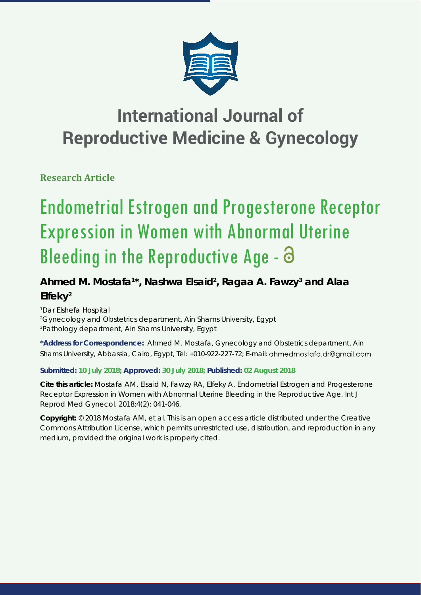

**Research Article**

# Endometrial Estrogen and Progesterone Receptor Expression in Women with Abnormal Uterine Bleeding in the Reproductive Age -  $\partial$

# Ahmed M. Mostafa<sup>1\*</sup>, Nashwa Elsaid<sup>2</sup>, Ragaa A. Fawzy<sup>3</sup> and Alaa **Elfeky2**

*1 Dar Elshefa Hospital 2 Gynecology and Obstetrics department, Ain Shams University, Egypt 3 Pathology department, Ain Shams University, Egypt* 

**\*Address for Correspondence:** Ahmed M. Mostafa, Gynecology and Obstetrics department, Ain Shams University, Abbassia, Cairo, Egypt, Tel: +010-922-227-72; E-mail: ahmedmostafa.dr@gmail.com

## **Submitted: 10 July 2018; Approved: 30 July 2018; Published: 02 August 2018**

**Cite this article:** Mostafa AM, Elsaid N, Fawzy RA, Elfeky A. Endometrial Estrogen and Progesterone Receptor Expression in Women with Abnormal Uterine Bleeding in the Reproductive Age. Int J Reprod Med Gynecol. 2018;4(2): 041-046.

**Copyright:** © 2018 Mostafa AM, et al. This is an open access article distributed under the Creative Commons Attribution License, which permits unrestricted use, distribution, and reproduction in any medium, provided the original work is properly cited.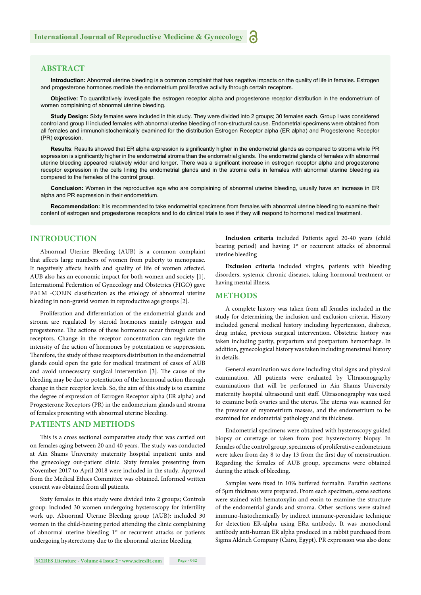#### **ABSTRACT**

**Introduction:** Abnormal uterine bleeding is a common complaint that has negative impacts on the quality of life in females. Estrogen and progesterone hormones mediate the endometrium proliferative activity through certain receptors.

**Objective:** To quantitatively investigate the estrogen receptor alpha and progesterone receptor distribution in the endometrium of women complaining of abnormal uterine bleeding.

**Study Design:** Sixty females were included in this study. They were divided into 2 groups; 30 females each. Group I was considered control and group II included females with abnormal uterine bleeding of non-structural cause. Endometrial specimens were obtained from all females and immunohistochemically examined for the distribution Estrogen Receptor alpha (ER alpha) and Progesterone Receptor (PR) expression.

Results: Results showed that ER alpha expression is significantly higher in the endometrial glands as compared to stroma while PR expression is significantly higher in the endometrial stroma than the endometrial glands. The endometrial glands of females with abnormal uterine bleeding appeared relatively wider and longer. There was a significant increase in estrogen receptor alpha and progesterone receptor expression in the cells lining the endometrial glands and in the stroma cells in females with abnormal uterine bleeding as compared to the females of the control group.

**Conclusion:** Women in the reproductive age who are complaining of abnormal uterine bleeding, usually have an increase in ER alpha and PR expression in their endometrium.

**Recommendation:** It is recommended to take endometrial specimens from females with abnormal uterine bleeding to examine their content of estrogen and progesterone receptors and to do clinical trials to see if they will respond to hormonal medical treatment.

#### **INTRODUCTION**

Abnormal Uterine Bleeding (AUB) is a common complaint that affects large numbers of women from puberty to menopause. It negatively affects health and quality of life of women affected. AUB also has an economic impact for both women and society [1]. International Federation of Gynecology and Obstetrics (FIGO) gave PALM -COEIN classification as the etiology of abnormal uterine bleeding in non-gravid women in reproductive age groups [2].

Proliferation and differentiation of the endometrial glands and stroma are regulated by steroid hormones mainly estrogen and progesterone. The actions of these hormones occur through certain receptors. Change in the receptor concentration can regulate the intensity of the action of hormones by potentiation or suppression. Therefore, the study of these receptors distribution in the endometrial glands could open the gate for medical treatment of cases of AUB and avoid unnecessary surgical intervention [3]. The cause of the bleeding may be due to potentiation of the hormonal action through change in their receptor levels. So, the aim of this study is to examine the degree of expression of Estrogen Receptor alpha (ER alpha) and Progesterone Receptors (PR) in the endometrium glands and stroma of females presenting with abnormal uterine bleeding.

#### **PATIENTS AND METHODS**

This is a cross sectional comparative study that was carried out on females aging between 20 and 40 years. The study was conducted at Ain Shams University maternity hospital inpatient units and the gynecology out-patient clinic. Sixty females presenting from November 2017 to April 2018 were included in the study. Approval from the Medical Ethics Committee was obtained. Informed written consent was obtained from all patients.

Sixty females in this study were divided into 2 groups; Controls group: included 30 women undergoing hysteroscopy for infertility work up. Abnormal Uterine Bleeding group (AUB): included 30 women in the child-bearing period attending the clinic complaining of abnormal uterine bleeding 1<sup>st</sup> or recurrent attacks or patients undergoing hysterectomy due to the abnormal uterine bleeding

**Inclusion criteria** included Patients aged 20-40 years (child bearing period) and having  $1<sup>st</sup>$  or recurrent attacks of abnormal uterine bleeding

**Exclusion criteria** included virgins, patients with bleeding disorders, systemic chronic diseases, taking hormonal treatment or having mental illness.

#### **METHODS**

A complete history was taken from all females included in the study for determining the inclusion and exclusion criteria. History included general medical history including hypertension, diabetes, drug intake, previous surgical intervention. Obstetric history was taken including parity, prepartum and postpartum hemorrhage. In addition, gynecological history was taken including menstrual history in details.

General examination was done including vital signs and physical examination. All patients were evaluated by Ultrasonography examinations that will be performed in Ain Shams University maternity hospital ultrasound unit staff. Ultrasonography was used to examine both ovaries and the uterus. The uterus was scanned for the presence of myometrium masses, and the endometrium to be examined for endometrial pathology and its thickness.

Endometrial specimens were obtained with hysteroscopy guided biopsy or curettage or taken from post hysterectomy biopsy. In females of the control group, specimens of proliferative endometrium were taken from day 8 to day 13 from the first day of menstruation. Regarding the females of AUB group, specimens were obtained during the attack of bleeding.

Samples were fixed in 10% buffered formalin. Paraffin sections of 5μm thickness were prepared. From each specimen, some sections were stained with hematoxylin and eosin to examine the structure of the endometrial glands and stroma. Other sections were stained immuno-histochemically by indirect immune-peroxidase technique for detection ER-alpha using ERα antibody. It was monoclonal antibody anti-human ER alpha produced in a rabbit purchased from Sigma Aldrich Company (Cairo, Egypt). PR expression was also done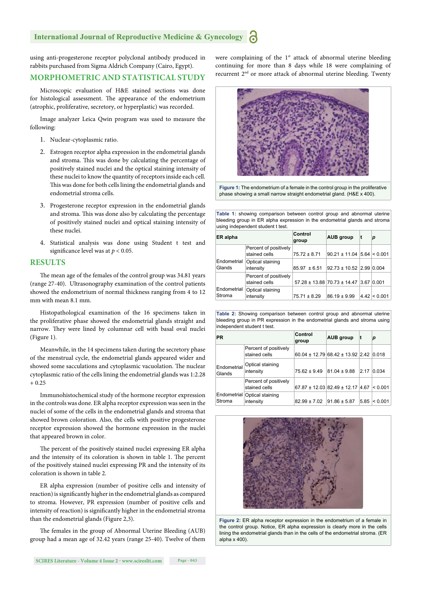using anti-progesterone receptor polyclonal antibody produced in rabbits purchased from Sigma Aldrich Company (Cairo, Egypt).

### **MORPHOMETRIC AND STATISTICAL STUDY**

Microscopic evaluation of H&E stained sections was done for histological assessment. The appearance of the endometrium (atrophic, proliferative, secretory, or hyperplastic) was recorded.

Image analyzer Leica Qwin program was used to measure the following:

- 1. Nuclear-cytoplasmic ratio.
- 2. Estrogen receptor alpha expression in the endometrial glands and stroma. This was done by calculating the percentage of positively stained nuclei and the optical staining intensity of these nuclei to know the quantity of receptors inside each cell. This was done for both cells lining the endometrial glands and endometrial stroma cells.
- 3. Progesterone receptor expression in the endometrial glands and stroma. This was done also by calculating the percentage of positively stained nuclei and optical staining intensity of these nuclei.
- 4. Statistical analysis was done using Student t test and significance level was at  $p < 0.05$ .

#### **RESULTS**

The mean age of the females of the control group was 34.81 years (range 27-40). Ultrasonography examination of the control patients showed the endometrium of normal thickness ranging from 4 to 12 mm with mean 8.1 mm.

Histopathological examination of the 16 specimens taken in the proliferative phase showed the endometrial glands straight and narrow. They were lined by columnar cell with basal oval nuclei (Figure 1).

Meanwhile, in the 14 specimens taken during the secretory phase of the menstrual cycle, the endometrial glands appeared wider and showed some sacculations and cytoplasmic vacuolation. The nuclear cytoplasmic ratio of the cells lining the endometrial glands was 1:2.28  $+ 0.25$ 

Immunohistochemical study of the hormone receptor expression in the controls was done. ER alpha receptor expression was seen in the nuclei of some of the cells in the endometrial glands and stroma that showed brown coloration. Also, the cells with positive progesterone receptor expression showed the hormone expression in the nuclei that appeared brown in color.

The percent of the positively stained nuclei expressing ER alpha and the intensity of its coloration is shown in table 1. The percent of the positively stained nuclei expressing PR and the intensity of its coloration is shown in table 2.

ER alpha expression (number of positive cells and intensity of reaction) is significantly higher in the endometrial glands as compared to stroma. However, PR expression (number of positive cells and intensity of reaction) is significantly higher in the endometrial stroma than the endometrial glands (Figure 2,3).

The females in the group of Abnormal Uterine Bleeding (AUB) group had a mean age of 32.42 years (range 25-40). Twelve of them were complaining of the 1<sup>st</sup> attack of abnormal uterine bleeding continuing for more than 8 days while 18 were complaining of recurrent 2nd or more attack of abnormal uterine bleeding. Twenty



**Figure 1:** The endometrium of a female in the control group in the proliferative phase showing a small narrow straight endometrial gland. (H&E x 400).

**Table 1:** showing comparison between control group and abnormal uterine bleeding group in ER alpha expression in the endometrial glands and stroma using independent student t test.

| ER alpha              |                                        | Control<br>group | <b>AUB</b> group                               | t    | р            |
|-----------------------|----------------------------------------|------------------|------------------------------------------------|------|--------------|
| Endometrial<br>Glands | Percent of positively<br>stained cells | $75.72 \pm 8.71$ | $90.21 \pm 11.04$ 5.64 $\leq 0.001$            |      |              |
|                       | Optical staining<br>intensity          | $85.97 \pm 6.51$ | $92.73 \pm 10.52$ 2.99 0.004                   |      |              |
| Endometrial<br>Stroma | Percent of positively<br>stained cells |                  | $57.28 \pm 13.88$ 70.73 $\pm$ 14.47 3.67 0.001 |      |              |
|                       | Optical staining<br>intensity          | $75.71 \pm 8.29$ | $86.19 \pm 9.99$                               | 4.42 | $\leq 0.001$ |

**Table 2:** Showing comparison between control group and abnormal uterine bleeding group in PR expression in the endometrial glands and stroma using independent student t test.

| <b>PR</b>             |                                        | Control<br>group | <b>AUB</b> group                       | t    | р       |
|-----------------------|----------------------------------------|------------------|----------------------------------------|------|---------|
|                       | Percent of positively<br>stained cells |                  | 60.04 ± 12.79 68.42 ± 13.92 2.42 0.018 |      |         |
| Endometrial<br>Glands | Optical staining<br>intensity          | $75.62 \pm 9.49$ | $81.04 \pm 9.88$                       | 2.17 | 0.034   |
| Endometrial<br>Stroma | Percent of positively<br>stained cells |                  | 67.87 ± 12.03 82.49 ± 12.17 4.67       |      | < 0.001 |
|                       | Optical staining<br>intensity          | $82.99 \pm 7.02$ | $91.86 \pm 5.87$                       | 5.85 | < 0.001 |



**Figure 2:** ER alpha receptor expression in the endometrium of a female in the control group. Notice, ER alpha expression is clearly more in the cells lining the endometrial glands than in the cells of the endometrial stroma. (ER alpha x 400).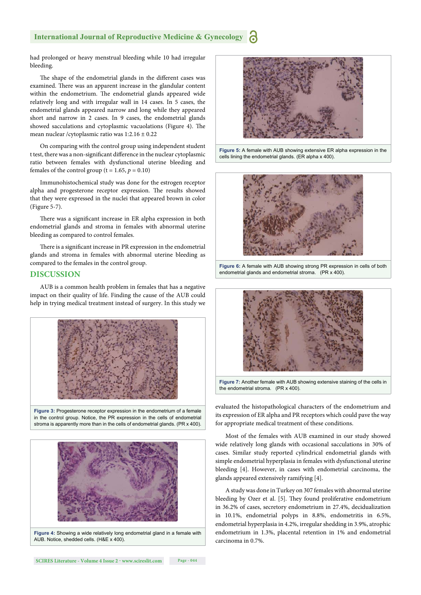had prolonged or heavy menstrual bleeding while 10 had irregular bleeding.

The shape of the endometrial glands in the different cases was examined. There was an apparent increase in the glandular content within the endometrium. The endometrial glands appeared wide relatively long and with irregular wall in 14 cases. In 5 cases, the endometrial glands appeared narrow and long while they appeared short and narrow in 2 cases. In 9 cases, the endometrial glands showed sacculations and cytoplasmic vacuolations (Figure 4). The mean nuclear /cytoplasmic ratio was 1:2.16 ± 0.22

On comparing with the control group using independent student t test, there was a non-significant difference in the nuclear cytoplasmic ratio between females with dysfunctional uterine bleeding and females of the control group ( $t = 1.65$ ,  $p = 0.10$ )

Immunohistochemical study was done for the estrogen receptor alpha and progesterone receptor expression. The results showed that they were expressed in the nuclei that appeared brown in color (Figure 5-7).

There was a significant increase in ER alpha expression in both endometrial glands and stroma in females with abnormal uterine bleeding as compared to control females.

There is a significant increase in PR expression in the endometrial glands and stroma in females with abnormal uterine bleeding as compared to the females in the control group.

#### **DISCUSSION**

AUB is a common health problem in females that has a negative impact on their quality of life. Finding the cause of the AUB could help in trying medical treatment instead of surgery. In this study we



**Figure 3:** Progesterone receptor expression in the endometrium of a female in the control group. Notice, the PR expression in the cells of endometrial stroma is apparently more than in the cells of endometrial glands. (PR x 400).



**Figure 4:** Showing a wide relatively long endometrial gland in a female with AUB. Notice, shedded cells. (H&E x 400).



**Figure 5:** A female with AUB showing extensive ER alpha expression in the cells lining the endometrial glands. (ER alpha x 400).







**Figure 7:** Another female with AUB showing extensive staining of the cells in the endometrial stroma. (PR x 400).

evaluated the histopathological characters of the endometrium and its expression of ER alpha and PR receptors which could pave the way for appropriate medical treatment of these conditions.

Most of the females with AUB examined in our study showed wide relatively long glands with occasional sacculations in 30% of cases. Similar study reported cylindrical endometrial glands with simple endometrial hyperplasia in females with dysfunctional uterine bleeding [4]. However, in cases with endometrial carcinoma, the glands appeared extensively ramifying [4].

A study was done in Turkey on 307 females with abnormal uterine bleeding by Ozer et al. [5]. They found proliferative endometrium in 36.2% of cases, secretory endometrium in 27.4%, decidualization in 10.1%, endometrial polyps in 8.8%, endometritis in 6.5%, endometrial hyperplasia in 4.2%, irregular shedding in 3.9%, atrophic endometrium in 1.3%, placental retention in 1% and endometrial carcinoma in 0.7%.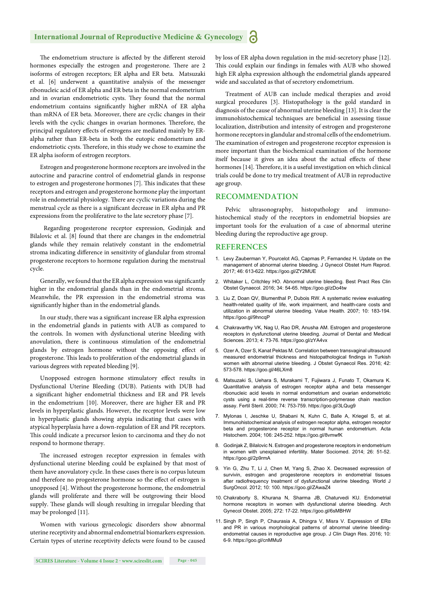The endometrium structure is affected by the different steroid hormones especially the estrogen and progesterone. There are 2 isoforms of estrogen receptors; ER alpha and ER beta. Matsuzaki et al. [6] underwent a quantitative analysis of the messenger ribonucleic acid of ER alpha and ER beta in the normal endometrium and in ovarian endometriotic cysts. They found that the normal endometrium contains significantly higher mRNA of ER alpha than mRNA of ER beta. Moreover, there are cyclic changes in their levels with the cyclic changes in ovarian hormones. Therefore, the principal regulatory effects of estrogens are mediated mainly by ERalpha rather than ER-beta in both the eutopic endometrium and endometriotic cysts. Therefore, in this study we chose to examine the ER alpha isoform of estrogen receptors.

Estrogen and progesterone hormone receptors are involved in the autocrine and paracrine control of endometrial glands in response to estrogen and progesterone hormones [7]. This indicates that these receptors and estrogen and progesterone hormone play the important role in endometrial physiology. There are cyclic variations during the menstrual cycle as there is a significant decrease in ER alpha and PR expressions from the proliferative to the late secretory phase [7].

 Regarding progesterone receptor expression, Godinjak and Bilalovic et al. [8] found that there are changes in the endometrial glands while they remain relatively constant in the endometrial stroma indicating difference in sensitivity of glandular from stromal progesterone receptors to hormone regulation during the menstrual cycle.

Generally, we found that the ER alpha expression was significantly higher in the endometrial glands than in the endometrial stroma. Meanwhile, the PR expression in the endometrial stroma was significantly higher than in the endometrial glands.

In our study, there was a significant increase ER alpha expression in the endometrial glands in patients with AUB as compared to the controls. In women with dysfunctional uterine bleeding with anovulation, there is continuous stimulation of the endometrial glands by estrogen hormone without the opposing effect of progesterone. This leads to proliferation of the endometrial glands in various degrees with repeated bleeding [9].

Unopposed estrogen hormone stimulatory effect results in Dysfunctional Uterine Bleeding (DUB). Patients with DUB had a significant higher endometrial thickness and ER and PR levels in the endometrium [10]. Moreover, there are higher ER and PR levels in hyperplastic glands. However, the receptor levels were low in hyperplastic glands showing atypia indicating that cases with atypical hyperplasia have a down-regulation of ER and PR receptors. This could indicate a precursor lesion to carcinoma and they do not respond to hormone therapy.

The increased estrogen receptor expression in females with dysfunctional uterine bleeding could be explained by that most of them have anovulatory cycle. In these cases there is no corpus luteum and therefore no progesterone hormone so the effect of estrogen is unopposed [4]. Without the progesterone hormone, the endometrial glands will proliferate and there will be outgrowing their blood supply. These glands will slough resulting in irregular bleeding that may be prolonged [11].

Women with various gynecologic disorders show abnormal uterine receptivity and abnormal endometrial biomarkers expression. Certain types of uterine receptivity defects were found to be caused by loss of ER alpha down regulation in the mid-secretory phase [12]. This could explain our findings in females with AUB who showed high ER alpha expression although the endometrial glands appeared wide and sacculated as that of secretory endometrium.

Treatment of AUB can include medical therapies and avoid surgical procedures [3]. Histopathology is the gold standard in diagnosis of the cause of abnormal uterine bleeding [13]. It is clear the immunohistochemical techniques are beneficial in assessing tissue localization, distribution and intensity of estrogen and progesterone hormone receptors in glandular and stromal cells of the endometrium. The examination of estrogen and progesterone receptor expression is more important than the biochemical examination of the hormone itself because it gives an idea about the actual effects of these hormones [14]. Therefore, it is a useful investigation on which clinical trials could be done to try medical treatment of AUB in reproductive age group.

#### **RECOMMENDATION**

Pelvic ultrasonography, histopathology and immunohistochemical study of the receptors in endometrial biopsies are important tools for the evaluation of a case of abnormal uterine bleeding during the reproductive age group.

#### **REFERENCES**

- 1. Levy Zauberman Y, Pourcelot AG, Capmas P, Fernandez H. Update on the management of abnormal uterine bleeding. J Gynecol Obstet Hum Reprod. 2017; 46: 613-622. https://goo.gl/ZY2MUE
- 2. Whitaker L, Critchley HO. Abnormal uterine bleeding. Best Pract Res Clin Obstet Gynaecol. 2016; 34: 54-65. https://goo.gl/zDo4tw
- 3. Liu Z, Doan QV, Blumenthal P, Dubois RW. A systematic review evaluating health-related quality of life, work impairment, and health-care costs and utilization in abnormal uterine bleeding. Value Health. 2007; 10: 183-194. https://goo.gl/9hncqP
- 4. Chakravarthy VK, Nag U, Rao DR, Anusha AM. Estrogen and progesterone receptors in dysfunctional uterine bleeding. Journal of Dental and Medical Sciences. 2013; 4: 73-76. https://goo.gl/zYA4vx
- 5. Ozer A, Ozer S, Kanat Pektas M. Correlation between transvaginal ultrasound measured endometrial thickness and histopathological findings in Turkish women with abnormal uterine bleeding. J Obstet Gynaecol Res. 2016; 42: 573-578. https://goo.gl/46LXm8
- 6. Matsuzaki S, Uehara S, Murakami T, Fujiwara J, Funato T, Okamura K. Quantitative analysis of estrogen receptor alpha and beta messenger ribonucleic acid levels in normal endometrium and ovarian endometriotic cysts using a real-time reverse transcription-polymerase chain reaction assay. Fertil Steril. 2000; 74: 753-759. https://goo.gl/3LQug9
- 7. Mylonas I, Jeschke U, Shabani N, Kuhn C, Balle A, Kriegel S, et al. Immunohistochemical analysis of estrogen receptor alpha, estrogen receptor beta and progesterone receptor in normal human endometrium. Acta Histochem. 2004; 106: 245-252. https://goo.gl/8vmwfK
- 8. Godinjak Z, Bilalovic N. Estrogen and progesterone receptors in endometrium in women with unexplained infertility. Mater Sociomed. 2014; 26: 51-52. https://goo.gl/2p9rmA
- 9. Yin G, Zhu T, Li J, Chen M, Yang S, Zhao X. Decreased expression of survivin, estrogen and progesterone receptors in endometrial tissues after radiofrequency treatment of dysfunctional uterine bleeding. World J SurgOncol. 2012; 10: 100. https://goo.gl/ZAwaZ4
- 10. Chakraborty S, Khurana N, Sharma JB, Chaturvedi KU. Endometrial hormone receptors in women with dysfunctional uterine bleeding. Arch Gynecol Obstet. 2005; 272: 17-22. https://goo.gl/6sMBHW
- 11. Singh P, Singh P, Chaurasia A, Dhingra V, Misra V. Expression of ERα and PR in various morphological patterns of abnormal uterine bleedingendometrial causes in reproductive age group. J Clin Diagn Res. 2016; 10: 6-9. https://goo.gl/cnMMu9